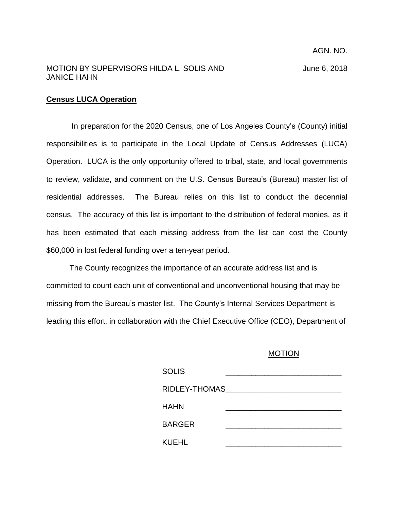## MOTION BY SUPERVISORS HILDA L. SOLIS AND June 6, 2018 JANICE HAHN

## **Census LUCA Operation**

In preparation for the 2020 Census, one of Los Angeles County's (County) initial responsibilities is to participate in the Local Update of Census Addresses (LUCA) Operation. LUCA is the only opportunity offered to tribal, state, and local governments to review, validate, and comment on the U.S. Census Bureau's (Bureau) master list of residential addresses. The Bureau relies on this list to conduct the decennial census. The accuracy of this list is important to the distribution of federal monies, as it has been estimated that each missing address from the list can cost the County \$60,000 in lost federal funding over a ten-year period.

The County recognizes the importance of an accurate address list and is committed to count each unit of conventional and unconventional housing that may be missing from the Bureau's master list. The County's Internal Services Department is leading this effort, in collaboration with the Chief Executive Office (CEO), Department of

## MOTION

| <b>SOLIS</b>  |  |
|---------------|--|
| RIDLEY-THOMAS |  |
| HAHN          |  |
| <b>BARGER</b> |  |
| KUEHL         |  |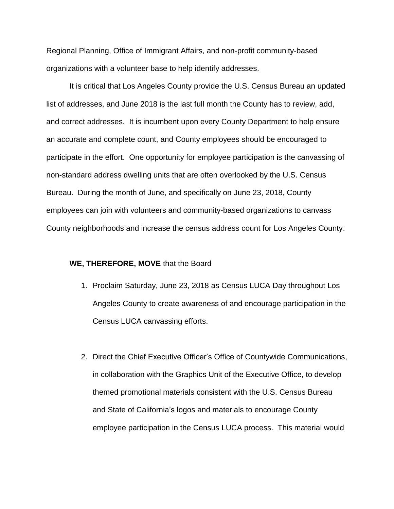Regional Planning, Office of Immigrant Affairs, and non-profit community-based organizations with a volunteer base to help identify addresses.

It is critical that Los Angeles County provide the U.S. Census Bureau an updated list of addresses, and June 2018 is the last full month the County has to review, add, and correct addresses. It is incumbent upon every County Department to help ensure an accurate and complete count, and County employees should be encouraged to participate in the effort. One opportunity for employee participation is the canvassing of non-standard address dwelling units that are often overlooked by the U.S. Census Bureau. During the month of June, and specifically on June 23, 2018, County employees can join with volunteers and community-based organizations to canvass County neighborhoods and increase the census address count for Los Angeles County.

## **WE, THEREFORE, MOVE** that the Board

- 1. Proclaim Saturday, June 23, 2018 as Census LUCA Day throughout Los Angeles County to create awareness of and encourage participation in the Census LUCA canvassing efforts.
- 2. Direct the Chief Executive Officer's Office of Countywide Communications, in collaboration with the Graphics Unit of the Executive Office, to develop themed promotional materials consistent with the U.S. Census Bureau and State of California's logos and materials to encourage County employee participation in the Census LUCA process. This material would